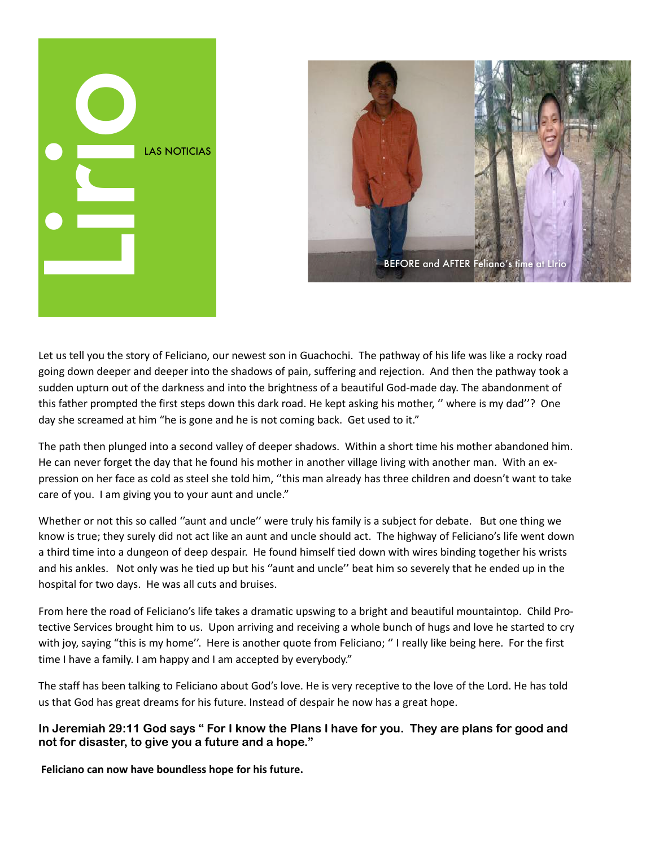



Let us tell you the story of Feliciano, our newest son in Guachochi. The pathway of his life was like a rocky road going down deeper and deeper into the shadows of pain, suffering and rejection. And then the pathway took a sudden upturn out of the darkness and into the brightness of a beautiful God-made day. The abandonment of this father prompted the first steps down this dark road. He kept asking his mother, "where is my dad"? One day she screamed at him "he is gone and he is not coming back. Get used to it."

The path then plunged into a second valley of deeper shadows. Within a short time his mother abandoned him. He can never forget the day that he found his mother in another village living with another man. With an expression on her face as cold as steel she told him, "this man already has three children and doesn't want to take care of you. I am giving you to your aunt and uncle."

Whether or not this so called "aunt and uncle" were truly his family is a subject for debate. But one thing we know is true; they surely did not act like an aunt and uncle should act. The highway of Feliciano's life went down a third time into a dungeon of deep despair. He found himself tied down with wires binding together his wrists and his ankles. Not only was he tied up but his "aunt and uncle" beat him so severely that he ended up in the hospital for two days. He was all cuts and bruises.

From here the road of Feliciano's life takes a dramatic upswing to a bright and beautiful mountaintop. Child Protective Services brought him to us. Upon arriving and receiving a whole bunch of hugs and love he started to cry with joy, saying "this is my home". Here is another quote from Feliciano; "I really like being here. For the first time I have a family. I am happy and I am accepted by everybody."

The staff has been talking to Feliciano about God's love. He is very receptive to the love of the Lord. He has told us that God has great dreams for his future. Instead of despair he now has a great hope.

In Jeremiah 29:11 God says " For I know the Plans I have for you. They are plans for good and not for disaster, to give you a future and a hope."

Feliciano can now have boundless hope for his future.